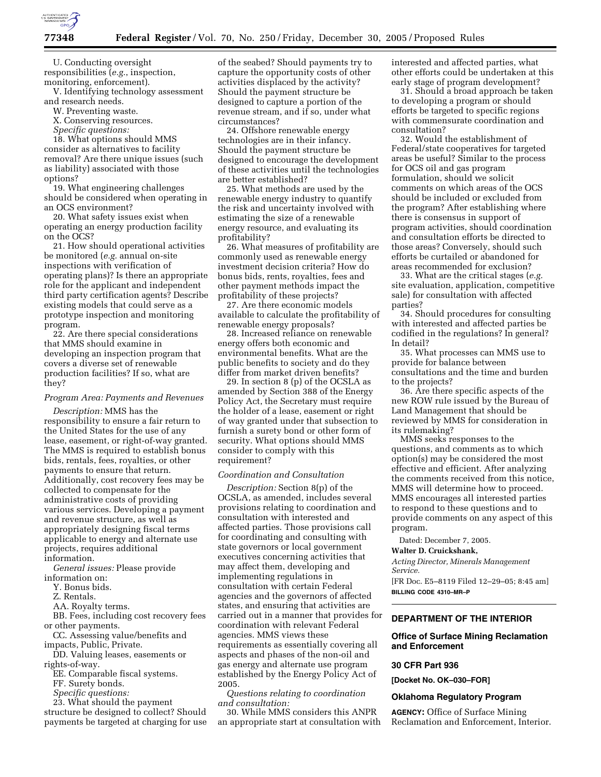

U. Conducting oversight responsibilities (*e.g.*, inspection, monitoring, enforcement).

V. Identifying technology assessment and research needs.

W. Preventing waste.

X. Conserving resources.

*Specific questions:* 

18. What options should MMS consider as alternatives to facility removal? Are there unique issues (such as liability) associated with those options?

19. What engineering challenges should be considered when operating in an OCS environment?

20. What safety issues exist when operating an energy production facility on the OCS?

21. How should operational activities be monitored (*e.g.* annual on-site inspections with verification of operating plans)? Is there an appropriate role for the applicant and independent third party certification agents? Describe existing models that could serve as a prototype inspection and monitoring program.

22. Are there special considerations that MMS should examine in developing an inspection program that covers a diverse set of renewable production facilities? If so, what are they?

# *Program Area: Payments and Revenues*

*Description:* MMS has the responsibility to ensure a fair return to the United States for the use of any lease, easement, or right-of-way granted. The MMS is required to establish bonus bids, rentals, fees, royalties, or other payments to ensure that return. Additionally, cost recovery fees may be collected to compensate for the administrative costs of providing various services. Developing a payment and revenue structure, as well as appropriately designing fiscal terms applicable to energy and alternate use projects, requires additional information.

*General issues:* Please provide information on:

Y. Bonus bids.

Z. Rentals.

AA. Royalty terms.

BB. Fees, including cost recovery fees or other payments.

CC. Assessing value/benefits and impacts, Public, Private.

DD. Valuing leases, easements or rights-of-way.

EE. Comparable fiscal systems.

FF. Surety bonds.

*Specific questions:* 

23. What should the payment structure be designed to collect? Should payments be targeted at charging for use

of the seabed? Should payments try to capture the opportunity costs of other activities displaced by the activity? Should the payment structure be designed to capture a portion of the revenue stream, and if so, under what circumstances?

24. Offshore renewable energy technologies are in their infancy. Should the payment structure be designed to encourage the development of these activities until the technologies are better established?

25. What methods are used by the renewable energy industry to quantify the risk and uncertainty involved with estimating the size of a renewable energy resource, and evaluating its profitability?

26. What measures of profitability are commonly used as renewable energy investment decision criteria? How do bonus bids, rents, royalties, fees and other payment methods impact the profitability of these projects?

27. Are there economic models available to calculate the profitability of renewable energy proposals?

28. Increased reliance on renewable energy offers both economic and environmental benefits. What are the public benefits to society and do they differ from market driven benefits?

29. In section 8 (p) of the OCSLA as amended by Section 388 of the Energy Policy Act, the Secretary must require the holder of a lease, easement or right of way granted under that subsection to furnish a surety bond or other form of security. What options should MMS consider to comply with this requirement?

## *Coordination and Consultation*

*Description:* Section 8(p) of the OCSLA, as amended, includes several provisions relating to coordination and consultation with interested and affected parties. Those provisions call for coordinating and consulting with state governors or local government executives concerning activities that may affect them, developing and implementing regulations in consultation with certain Federal agencies and the governors of affected states, and ensuring that activities are carried out in a manner that provides for coordination with relevant Federal agencies. MMS views these requirements as essentially covering all aspects and phases of the non-oil and gas energy and alternate use program established by the Energy Policy Act of 2005.

*Questions relating to coordination and consultation:* 

30. While MMS considers this ANPR an appropriate start at consultation with interested and affected parties, what other efforts could be undertaken at this early stage of program development?

31. Should a broad approach be taken to developing a program or should efforts be targeted to specific regions with commensurate coordination and consultation?

32. Would the establishment of Federal/state cooperatives for targeted areas be useful? Similar to the process for OCS oil and gas program formulation, should we solicit comments on which areas of the OCS should be included or excluded from the program? After establishing where there is consensus in support of program activities, should coordination and consultation efforts be directed to those areas? Conversely, should such efforts be curtailed or abandoned for areas recommended for exclusion?

33. What are the critical stages (*e.g.*  site evaluation, application, competitive sale) for consultation with affected parties?

34. Should procedures for consulting with interested and affected parties be codified in the regulations? In general? In detail?

35. What processes can MMS use to provide for balance between consultations and the time and burden to the projects?

36. Are there specific aspects of the new ROW rule issued by the Bureau of Land Management that should be reviewed by MMS for consideration in its rulemaking?

MMS seeks responses to the questions, and comments as to which option(s) may be considered the most effective and efficient. After analyzing the comments received from this notice, MMS will determine how to proceed. MMS encourages all interested parties to respond to these questions and to provide comments on any aspect of this program.

Dated: December 7, 2005.

#### **Walter D. Cruickshank,**

*Acting Director, Minerals Management Service.* 

[FR Doc. E5–8119 Filed 12–29–05; 8:45 am] **BILLING CODE 4310–MR–P** 

## **DEPARTMENT OF THE INTERIOR**

# **Office of Surface Mining Reclamation and Enforcement**

#### **30 CFR Part 936**

**[Docket No. OK–030–FOR]** 

#### **Oklahoma Regulatory Program**

**AGENCY:** Office of Surface Mining Reclamation and Enforcement, Interior.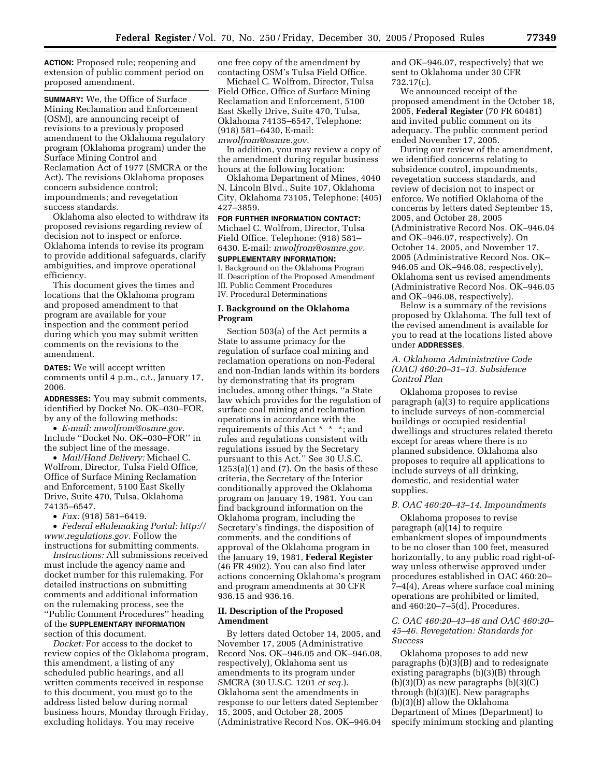**ACTION:** Proposed rule; reopening and extension of public comment period on proposed amendment.

**SUMMARY:** We, the Office of Surface Mining Reclamation and Enforcement (OSM), are announcing receipt of revisions to a previously proposed amendment to the Oklahoma regulatory program (Oklahoma program) under the Surface Mining Control and Reclamation Act of 1977 (SMCRA or the Act). The revisions Oklahoma proposes concern subsidence control; impoundments; and revegetation success standards.

Oklahoma also elected to withdraw its proposed revisions regarding review of decision not to inspect or enforce. Oklahoma intends to revise its program to provide additional safeguards, clarify ambiguities, and improve operational efficiency.

This document gives the times and locations that the Oklahoma program and proposed amendment to that program are available for your inspection and the comment period during which you may submit written comments on the revisions to the amendment.

**DATES:** We will accept written comments until 4 p.m., c.t., January 17, 2006.

**ADDRESSES:** You may submit comments, identified by Docket No. OK–030–FOR, by any of the following methods:

• *E-mail: mwolfrom@osmre.gov*. Include ''Docket No. OK–030–FOR'' in the subject line of the message.

• *Mail/Hand Delivery:* Michael C. Wolfrom, Director, Tulsa Field Office, Office of Surface Mining Reclamation and Enforcement, 5100 East Skelly Drive, Suite 470, Tulsa, Oklahoma 74135–6547.

• *Fax:* (918) 581–6419.

• *Federal eRulemaking Portal: http:// www.regulations.gov*. Follow the instructions for submitting comments.

*Instructions:* All submissions received must include the agency name and docket number for this rulemaking. For detailed instructions on submitting comments and additional information on the rulemaking process, see the ''Public Comment Procedures'' heading of the **SUPPLEMENTARY INFORMATION** section of this document.

*Docket:* For access to the docket to review copies of the Oklahoma program, this amendment, a listing of any scheduled public hearings, and all written comments received in response to this document, you must go to the address listed below during normal business hours, Monday through Friday, excluding holidays. You may receive

one free copy of the amendment by contacting OSM's Tulsa Field Office.

Michael C. Wolfrom, Director, Tulsa Field Office, Office of Surface Mining Reclamation and Enforcement, 5100 East Skelly Drive, Suite 470, Tulsa, Oklahoma 74135–6547, Telephone: (918) 581–6430, E-mail: *mwolfrom@osmre.gov.* 

In addition, you may review a copy of the amendment during regular business hours at the following location:

Oklahoma Department of Mines, 4040 N. Lincoln Blvd., Suite 107, Oklahoma City, Oklahoma 73105, Telephone: (405) 427–3859.

**FOR FURTHER INFORMATION CONTACT:** 

Michael C. Wolfrom, Director, Tulsa Field Office. Telephone: (918) 581– 6430. E-mail: *mwolfrom@osmre.gov.* 

# **SUPPLEMENTARY INFORMATION:**

I. Background on the Oklahoma Program II. Description of the Proposed Amendment III. Public Comment Procedures IV. Procedural Determinations

# **I. Background on the Oklahoma Program**

Section 503(a) of the Act permits a State to assume primacy for the regulation of surface coal mining and reclamation operations on non-Federal and non-Indian lands within its borders by demonstrating that its program includes, among other things, ''a State law which provides for the regulation of surface coal mining and reclamation operations in accordance with the requirements of this Act \* \* \*; and rules and regulations consistent with regulations issued by the Secretary pursuant to this Act.'' See 30 U.S.C.  $1253(a)(1)$  and  $(7)$ . On the basis of these criteria, the Secretary of the Interior conditionally approved the Oklahoma program on January 19, 1981. You can find background information on the Oklahoma program, including the Secretary's findings, the disposition of comments, and the conditions of approval of the Oklahoma program in the January 19, 1981, **Federal Register**  (46 FR 4902). You can also find later actions concerning Oklahoma's program and program amendments at 30 CFR 936.15 and 936.16.

# **II. Description of the Proposed Amendment**

By letters dated October 14, 2005, and November 17, 2005 (Administrative Record Nos. OK–946.05 and OK–946.08, respectively), Oklahoma sent us amendments to its program under SMCRA (30 U.S.C. 1201 *et seq.*). Oklahoma sent the amendments in response to our letters dated September 15, 2005, and October 28, 2005 (Administrative Record Nos. OK–946.04

and OK–946.07, respectively) that we sent to Oklahoma under 30 CFR 732.17(c).

We announced receipt of the proposed amendment in the October 18, 2005, **Federal Register** (70 FR 60481) and invited public comment on its adequacy. The public comment period ended November 17, 2005.

During our review of the amendment, we identified concerns relating to subsidence control, impoundments, revegetation success standards, and review of decision not to inspect or enforce. We notified Oklahoma of the concerns by letters dated September 15, 2005, and October 28, 2005 (Administrative Record Nos. OK–946.04 and OK–946.07, respectively). On October 14, 2005, and November 17, 2005 (Administrative Record Nos. OK– 946.05 and OK–946.08, respectively), Oklahoma sent us revised amendments (Administrative Record Nos. OK–946.05 and OK–946.08, respectively).

Below is a summary of the revisions proposed by Oklahoma. The full text of the revised amendment is available for you to read at the locations listed above under **ADDRESSES**.

## *A. Oklahoma Administrative Code (OAC) 460:20–31–13. Subsidence Control Plan*

Oklahoma proposes to revise paragraph (a)(3) to require applications to include surveys of non-commercial buildings or occupied residential dwellings and structures related thereto except for areas where there is no planned subsidence. Oklahoma also proposes to require all applications to include surveys of all drinking, domestic, and residential water supplies.

## *B. OAC 460:20–43–14. Impoundments*

Oklahoma proposes to revise paragraph (a)(14) to require embankment slopes of impoundments to be no closer than 100 feet, measured horizontally, to any public road right-ofway unless otherwise approved under procedures established in OAC 460:20– 7–4(4), Areas where surface coal mining operations are prohibited or limited, and 460:20–7–5(d), Procedures.

# *C. OAC 460:20–43–46 and OAC 460:20– 45–46. Revegetation: Standards for Success*

Oklahoma proposes to add new paragraphs (b)(3)(B) and to redesignate existing paragraphs (b)(3)(B) through  $(b)(3)(D)$  as new paragraphs  $(b)(3)(C)$ through (b)(3)(E). New paragraphs (b)(3)(B) allow the Oklahoma Department of Mines (Department) to specify minimum stocking and planting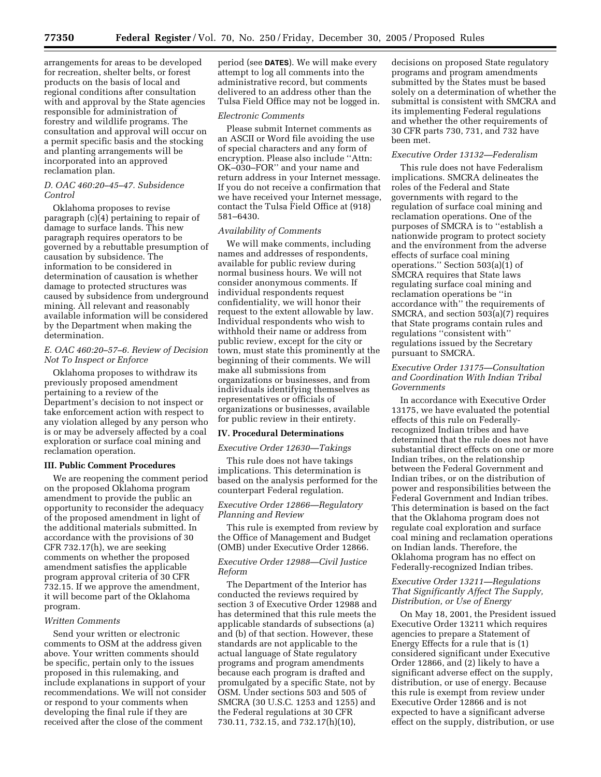arrangements for areas to be developed for recreation, shelter belts, or forest products on the basis of local and regional conditions after consultation with and approval by the State agencies responsible for administration of forestry and wildlife programs. The consultation and approval will occur on a permit specific basis and the stocking and planting arrangements will be incorporated into an approved reclamation plan.

# *D. OAC 460:20–45–47. Subsidence Control*

Oklahoma proposes to revise paragraph (c)(4) pertaining to repair of damage to surface lands. This new paragraph requires operators to be governed by a rebuttable presumption of causation by subsidence. The information to be considered in determination of causation is whether damage to protected structures was caused by subsidence from underground mining. All relevant and reasonably available information will be considered by the Department when making the determination.

# *E. OAC 460:20–57–6. Review of Decision Not To Inspect or Enforce*

Oklahoma proposes to withdraw its previously proposed amendment pertaining to a review of the Department's decision to not inspect or take enforcement action with respect to any violation alleged by any person who is or may be adversely affected by a coal exploration or surface coal mining and reclamation operation.

#### **III. Public Comment Procedures**

We are reopening the comment period on the proposed Oklahoma program amendment to provide the public an opportunity to reconsider the adequacy of the proposed amendment in light of the additional materials submitted. In accordance with the provisions of 30 CFR 732.17(h), we are seeking comments on whether the proposed amendment satisfies the applicable program approval criteria of 30 CFR 732.15. If we approve the amendment, it will become part of the Oklahoma program.

### *Written Comments*

Send your written or electronic comments to OSM at the address given above. Your written comments should be specific, pertain only to the issues proposed in this rulemaking, and include explanations in support of your recommendations. We will not consider or respond to your comments when developing the final rule if they are received after the close of the comment

period (see **DATES**). We will make every attempt to log all comments into the administrative record, but comments delivered to an address other than the Tulsa Field Office may not be logged in.

#### *Electronic Comments*

Please submit Internet comments as an ASCII or Word file avoiding the use of special characters and any form of encryption. Please also include ''Attn: OK–030–FOR'' and your name and return address in your Internet message. If you do not receive a confirmation that we have received your Internet message, contact the Tulsa Field Office at (918) 581–6430.

# *Availability of Comments*

We will make comments, including names and addresses of respondents, available for public review during normal business hours. We will not consider anonymous comments. If individual respondents request confidentiality, we will honor their request to the extent allowable by law. Individual respondents who wish to withhold their name or address from public review, except for the city or town, must state this prominently at the beginning of their comments. We will make all submissions from organizations or businesses, and from individuals identifying themselves as representatives or officials of organizations or businesses, available for public review in their entirety.

#### **IV. Procedural Determinations**

#### *Executive Order 12630—Takings*

This rule does not have takings implications. This determination is based on the analysis performed for the counterpart Federal regulation.

## *Executive Order 12866—Regulatory Planning and Review*

This rule is exempted from review by the Office of Management and Budget (OMB) under Executive Order 12866.

## *Executive Order 12988—Civil Justice Reform*

The Department of the Interior has conducted the reviews required by section 3 of Executive Order 12988 and has determined that this rule meets the applicable standards of subsections (a) and (b) of that section. However, these standards are not applicable to the actual language of State regulatory programs and program amendments because each program is drafted and promulgated by a specific State, not by OSM. Under sections 503 and 505 of SMCRA (30 U.S.C. 1253 and 1255) and the Federal regulations at 30 CFR 730.11, 732.15, and 732.17(h)(10),

decisions on proposed State regulatory programs and program amendments submitted by the States must be based solely on a determination of whether the submittal is consistent with SMCRA and its implementing Federal regulations and whether the other requirements of 30 CFR parts 730, 731, and 732 have been met.

# *Executive Order 13132—Federalism*

This rule does not have Federalism implications. SMCRA delineates the roles of the Federal and State governments with regard to the regulation of surface coal mining and reclamation operations. One of the purposes of SMCRA is to ''establish a nationwide program to protect society and the environment from the adverse effects of surface coal mining operations." Section  $503(a)(1)$  of SMCRA requires that State laws regulating surface coal mining and reclamation operations be ''in accordance with'' the requirements of SMCRA, and section 503(a)(7) requires that State programs contain rules and regulations ''consistent with'' regulations issued by the Secretary pursuant to SMCRA.

# *Executive Order 13175—Consultation and Coordination With Indian Tribal Governments*

In accordance with Executive Order 13175, we have evaluated the potential effects of this rule on Federallyrecognized Indian tribes and have determined that the rule does not have substantial direct effects on one or more Indian tribes, on the relationship between the Federal Government and Indian tribes, or on the distribution of power and responsibilities between the Federal Government and Indian tribes. This determination is based on the fact that the Oklahoma program does not regulate coal exploration and surface coal mining and reclamation operations on Indian lands. Therefore, the Oklahoma program has no effect on Federally-recognized Indian tribes.

# *Executive Order 13211—Regulations That Significantly Affect The Supply, Distribution, or Use of Energy*

On May 18, 2001, the President issued Executive Order 13211 which requires agencies to prepare a Statement of Energy Effects for a rule that is (1) considered significant under Executive Order 12866, and (2) likely to have a significant adverse effect on the supply, distribution, or use of energy. Because this rule is exempt from review under Executive Order 12866 and is not expected to have a significant adverse effect on the supply, distribution, or use